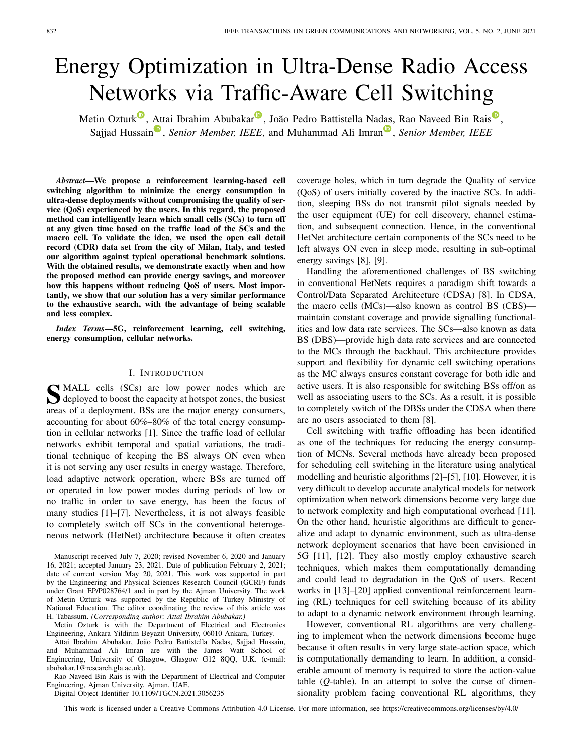# Energy Optimization in Ultra-Dense Radio Access Networks via Traffic-Aware Cell Switching

Metin Ozturk<sup>o</sup>, Attai Ibrahim Abubakar<sup>o</sup>, João Pedro Battistella Nadas, Rao Naveed Bin Rais<sup>o</sup>, Sajjad Hussain<sup>®</sup>, *Senior Member, IEEE*, and Muhammad Ali Imran<sup>®</sup>, *Senior Member, IEEE* 

*Abstract***—We propose a reinforcement learning-based cell switching algorithm to minimize the energy consumption in ultra-dense deployments without compromising the quality of service (QoS) experienced by the users. In this regard, the proposed method can intelligently learn which small cells (SCs) to turn off at any given time based on the traffic load of the SCs and the macro cell. To validate the idea, we used the open call detail record (CDR) data set from the city of Milan, Italy, and tested our algorithm against typical operational benchmark solutions. With the obtained results, we demonstrate exactly when and how the proposed method can provide energy savings, and moreover how this happens without reducing QoS of users. Most importantly, we show that our solution has a very similar performance to the exhaustive search, with the advantage of being scalable and less complex.**

*Index Terms***—5G, reinforcement learning, cell switching, energy consumption, cellular networks.**

#### I. INTRODUCTION

**S**MALL cells (SCs) are low power nodes which are deployed to boost the capacity at hotspot zones, the busiest deployed to boost the capacity at hotspot zones, the busiest areas of a deployment. BSs are the major energy consumers, accounting for about 60%–80% of the total energy consumption in cellular networks [1]. Since the traffic load of cellular networks exhibit temporal and spatial variations, the traditional technique of keeping the BS always ON even when it is not serving any user results in energy wastage. Therefore, load adaptive network operation, where BSs are turned off or operated in low power modes during periods of low or no traffic in order to save energy, has been the focus of many studies [1]–[7]. Nevertheless, it is not always feasible to completely switch off SCs in the conventional heterogeneous network (HetNet) architecture because it often creates

Metin Ozturk is with the Department of Electrical and Electronics Engineering, Ankara Yildirim Beyazit University, 06010 Ankara, Turkey.

Attai Ibrahim Abubakar, João Pedro Battistella Nadas, Sajjad Hussain, and Muhammad Ali Imran are with the James Watt School of Engineering, University of Glasgow, Glasgow G12 8QQ, U.K. (e-mail: abubakar.1@research.gla.ac.uk).

Rao Naveed Bin Rais is with the Department of Electrical and Computer Engineering, Ajman University, Ajman, UAE.

Digital Object Identifier 10.1109/TGCN.2021.3056235

coverage holes, which in turn degrade the Quality of service (QoS) of users initially covered by the inactive SCs. In addition, sleeping BSs do not transmit pilot signals needed by the user equipment (UE) for cell discovery, channel estimation, and subsequent connection. Hence, in the conventional HetNet architecture certain components of the SCs need to be left always ON even in sleep mode, resulting in sub-optimal energy savings [8], [9].

Handling the aforementioned challenges of BS switching in conventional HetNets requires a paradigm shift towards a Control/Data Separated Architecture (CDSA) [8]. In CDSA, the macro cells (MCs)—also known as control BS (CBS) maintain constant coverage and provide signalling functionalities and low data rate services. The SCs—also known as data BS (DBS)—provide high data rate services and are connected to the MCs through the backhaul. This architecture provides support and flexibility for dynamic cell switching operations as the MC always ensures constant coverage for both idle and active users. It is also responsible for switching BSs off/on as well as associating users to the SCs. As a result, it is possible to completely switch of the DBSs under the CDSA when there are no users associated to them [8].

Cell switching with traffic offloading has been identified as one of the techniques for reducing the energy consumption of MCNs. Several methods have already been proposed for scheduling cell switching in the literature using analytical modelling and heuristic algorithms [2]–[5], [10]. However, it is very difficult to develop accurate analytical models for network optimization when network dimensions become very large due to network complexity and high computational overhead [11]. On the other hand, heuristic algorithms are difficult to generalize and adapt to dynamic environment, such as ultra-dense network deployment scenarios that have been envisioned in 5G [11], [12]. They also mostly employ exhaustive search techniques, which makes them computationally demanding and could lead to degradation in the QoS of users. Recent works in [13]–[20] applied conventional reinforcement learning (RL) techniques for cell switching because of its ability to adapt to a dynamic network environment through learning.

However, conventional RL algorithms are very challenging to implement when the network dimensions become huge because it often results in very large state-action space, which is computationally demanding to learn. In addition, a considerable amount of memory is required to store the action-value table (*Q*-table). In an attempt to solve the curse of dimensionality problem facing conventional RL algorithms, they

This work is licensed under a Creative Commons Attribution 4.0 License. For more information, see https://creativecommons.org/licenses/by/4.0/

Manuscript received July 7, 2020; revised November 6, 2020 and January 16, 2021; accepted January 23, 2021. Date of publication February 2, 2021; date of current version May 20, 2021. This work was supported in part by the Engineering and Physical Sciences Research Council (GCRF) funds under Grant EP/P028764/1 and in part by the Ajman University. The work of Metin Ozturk was supported by the Republic of Turkey Ministry of National Education. The editor coordinating the review of this article was H. Tabassum. *(Corresponding author: Attai Ibrahim Abubakar.)*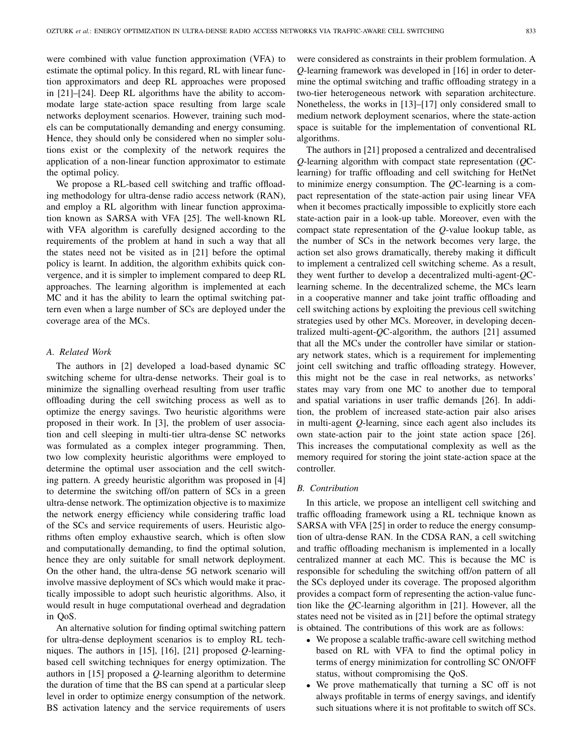were combined with value function approximation (VFA) to estimate the optimal policy. In this regard, RL with linear function approximators and deep RL approaches were proposed in [21]–[24]. Deep RL algorithms have the ability to accommodate large state-action space resulting from large scale networks deployment scenarios. However, training such models can be computationally demanding and energy consuming. Hence, they should only be considered when no simpler solutions exist or the complexity of the network requires the application of a non-linear function approximator to estimate the optimal policy.

We propose a RL-based cell switching and traffic offloading methodology for ultra-dense radio access network (RAN), and employ a RL algorithm with linear function approximation known as SARSA with VFA [25]. The well-known RL with VFA algorithm is carefully designed according to the requirements of the problem at hand in such a way that all the states need not be visited as in [21] before the optimal policy is learnt. In addition, the algorithm exhibits quick convergence, and it is simpler to implement compared to deep RL approaches. The learning algorithm is implemented at each MC and it has the ability to learn the optimal switching pattern even when a large number of SCs are deployed under the coverage area of the MCs.

### *A. Related Work*

The authors in [2] developed a load-based dynamic SC switching scheme for ultra-dense networks. Their goal is to minimize the signalling overhead resulting from user traffic offloading during the cell switching process as well as to optimize the energy savings. Two heuristic algorithms were proposed in their work. In [3], the problem of user association and cell sleeping in multi-tier ultra-dense SC networks was formulated as a complex integer programming. Then, two low complexity heuristic algorithms were employed to determine the optimal user association and the cell switching pattern. A greedy heuristic algorithm was proposed in [4] to determine the switching off/on pattern of SCs in a green ultra-dense network. The optimization objective is to maximize the network energy efficiency while considering traffic load of the SCs and service requirements of users. Heuristic algorithms often employ exhaustive search, which is often slow and computationally demanding, to find the optimal solution, hence they are only suitable for small network deployment. On the other hand, the ultra-dense 5G network scenario will involve massive deployment of SCs which would make it practically impossible to adopt such heuristic algorithms. Also, it would result in huge computational overhead and degradation in QoS.

An alternative solution for finding optimal switching pattern for ultra-dense deployment scenarios is to employ RL techniques. The authors in [15], [16], [21] proposed *Q*-learningbased cell switching techniques for energy optimization. The authors in [15] proposed a *Q*-learning algorithm to determine the duration of time that the BS can spend at a particular sleep level in order to optimize energy consumption of the network. BS activation latency and the service requirements of users were considered as constraints in their problem formulation. A *Q*-learning framework was developed in [16] in order to determine the optimal switching and traffic offloading strategy in a two-tier heterogeneous network with separation architecture. Nonetheless, the works in [13]–[17] only considered small to medium network deployment scenarios, where the state-action space is suitable for the implementation of conventional RL algorithms.

The authors in [21] proposed a centralized and decentralised *Q*-learning algorithm with compact state representation (*Q*Clearning) for traffic offloading and cell switching for HetNet to minimize energy consumption. The *Q*C-learning is a compact representation of the state-action pair using linear VFA when it becomes practically impossible to explicitly store each state-action pair in a look-up table. Moreover, even with the compact state representation of the *Q*-value lookup table, as the number of SCs in the network becomes very large, the action set also grows dramatically, thereby making it difficult to implement a centralized cell switching scheme. As a result, they went further to develop a decentralized multi-agent-*Q*Clearning scheme. In the decentralized scheme, the MCs learn in a cooperative manner and take joint traffic offloading and cell switching actions by exploiting the previous cell switching strategies used by other MCs. Moreover, in developing decentralized multi-agent-*Q*C-algorithm, the authors [21] assumed that all the MCs under the controller have similar or stationary network states, which is a requirement for implementing joint cell switching and traffic offloading strategy. However, this might not be the case in real networks, as networks' states may vary from one MC to another due to temporal and spatial variations in user traffic demands [26]. In addition, the problem of increased state-action pair also arises in multi-agent *Q*-learning, since each agent also includes its own state-action pair to the joint state action space [26]. This increases the computational complexity as well as the memory required for storing the joint state-action space at the controller.

### *B. Contribution*

In this article, we propose an intelligent cell switching and traffic offloading framework using a RL technique known as SARSA with VFA [25] in order to reduce the energy consumption of ultra-dense RAN. In the CDSA RAN, a cell switching and traffic offloading mechanism is implemented in a locally centralized manner at each MC. This is because the MC is responsible for scheduling the switching off/on pattern of all the SCs deployed under its coverage. The proposed algorithm provides a compact form of representing the action-value function like the *Q*C-learning algorithm in [21]. However, all the states need not be visited as in [21] before the optimal strategy is obtained. The contributions of this work are as follows:

- We propose a scalable traffic-aware cell switching method based on RL with VFA to find the optimal policy in terms of energy minimization for controlling SC ON/OFF status, without compromising the QoS.
- We prove mathematically that turning a SC off is not always profitable in terms of energy savings, and identify such situations where it is not profitable to switch off SCs.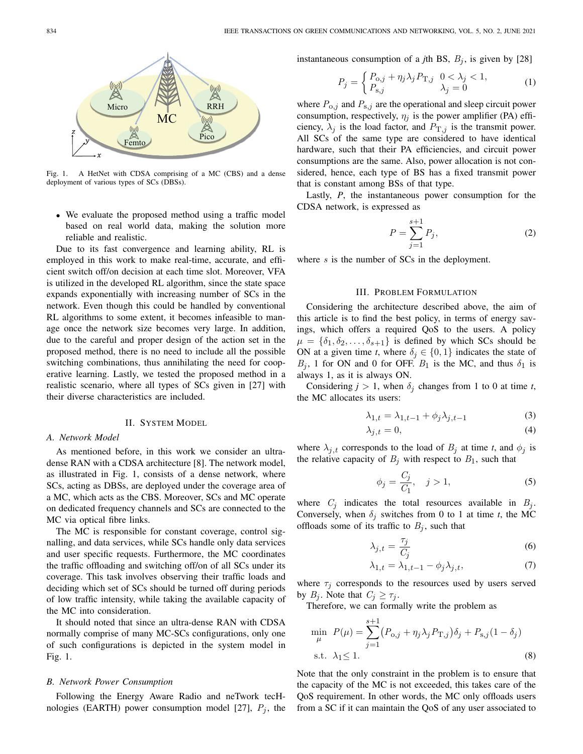

Fig. 1. A HetNet with CDSA comprising of a MC (CBS) and a dense deployment of various types of SCs (DBSs).

• We evaluate the proposed method using a traffic model based on real world data, making the solution more reliable and realistic.

Due to its fast convergence and learning ability, RL is employed in this work to make real-time, accurate, and efficient switch off/on decision at each time slot. Moreover, VFA is utilized in the developed RL algorithm, since the state space expands exponentially with increasing number of SCs in the network. Even though this could be handled by conventional RL algorithms to some extent, it becomes infeasible to manage once the network size becomes very large. In addition, due to the careful and proper design of the action set in the proposed method, there is no need to include all the possible switching combinations, thus annihilating the need for cooperative learning. Lastly, we tested the proposed method in a realistic scenario, where all types of SCs given in [27] with their diverse characteristics are included.

#### II. SYSTEM MODEL

#### *A. Network Model*

As mentioned before, in this work we consider an ultradense RAN with a CDSA architecture [8]. The network model, as illustrated in Fig. 1, consists of a dense network, where SCs, acting as DBSs, are deployed under the coverage area of a MC, which acts as the CBS. Moreover, SCs and MC operate on dedicated frequency channels and SCs are connected to the MC via optical fibre links.

The MC is responsible for constant coverage, control signalling, and data services, while SCs handle only data services and user specific requests. Furthermore, the MC coordinates the traffic offloading and switching off/on of all SCs under its coverage. This task involves observing their traffic loads and deciding which set of SCs should be turned off during periods of low traffic intensity, while taking the available capacity of the MC into consideration.

It should noted that since an ultra-dense RAN with CDSA normally comprise of many MC-SCs configurations, only one of such configurations is depicted in the system model in Fig. 1.

## *B. Network Power Consumption*

Following the Energy Aware Radio and neTwork tecHnologies (EARTH) power consumption model [27],  $P_j$ , the instantaneous consumption of a *j*th BS,  $B_j$ , is given by [28]

$$
P_j = \begin{cases} P_{0,j} + \eta_j \lambda_j P_{\mathrm{T},j} & 0 < \lambda_j < 1, \\ P_{\mathrm{s},j} & \lambda_j = 0 \end{cases} \tag{1}
$$

where  $P_{o,j}$  and  $P_{s,j}$  are the operational and sleep circuit power consumption, respectively,  $\eta_j$  is the power amplifier (PA) efficiency,  $\lambda_j$  is the load factor, and  $P_{T,j}$  is the transmit power. All SCs of the same type are considered to have identical hardware, such that their PA efficiencies, and circuit power consumptions are the same. Also, power allocation is not considered, hence, each type of BS has a fixed transmit power that is constant among BSs of that type.

Lastly, *P*, the instantaneous power consumption for the CDSA network, is expressed as

$$
P = \sum_{j=1}^{s+1} P_j,
$$
 (2)

where  $s$  is the number of SCs in the deployment.

# III. PROBLEM FORMULATION

Considering the architecture described above, the aim of this article is to find the best policy, in terms of energy savings, which offers a required QoS to the users. A policy  $\mu = \{\delta_1, \delta_2, \ldots, \delta_{s+1}\}\$ is defined by which SCs should be ON at a given time *t*, where  $\delta_j \in \{0, 1\}$  indicates the state of  $B_j$ , 1 for ON and 0 for OFF.  $B_1$  is the MC, and thus  $\delta_1$  is always 1, as it is always ON.

Considering  $j > 1$ , when  $\delta_j$  changes from 1 to 0 at time *t*, the MC allocates its users:

$$
\lambda_{1,t} = \lambda_{1,t-1} + \phi_j \lambda_{j,t-1} \tag{3}
$$

$$
\lambda_{j,t} = 0,\tag{4}
$$

where  $\lambda_{j,t}$  corresponds to the load of  $B_j$  at time *t*, and  $\phi_j$  is the relative capacity of  $B_i$  with respect to  $B_1$ , such that

$$
\phi_j = \frac{C_j}{C_1}, \quad j > 1,\tag{5}
$$

where  $C_j$  indicates the total resources available in  $B_j$ . Conversely, when  $\delta_i$  switches from 0 to 1 at time *t*, the MC offloads some of its traffic to  $B_j$ , such that

$$
\lambda_{j,t} = \frac{\tau_j}{C_j} \tag{6}
$$

$$
\lambda_{1,t} = \lambda_{1,t-1} - \phi_j \lambda_{j,t},\tag{7}
$$

where  $\tau_i$  corresponds to the resources used by users served by  $B_j$ . Note that  $C_j \geq \tau_j$ .

Therefore, we can formally write the problem as

$$
\min_{\mu} P(\mu) = \sum_{j=1}^{s+1} (P_{o,j} + \eta_j \lambda_j P_{\mathrm{T},j}) \delta_j + P_{\mathrm{s},j} (1 - \delta_j)
$$
  
s.t.  $\lambda_1 \le 1$ . (8)

Note that the only constraint in the problem is to ensure that the capacity of the MC is not exceeded, this takes care of the QoS requirement. In other words, the MC only offloads users from a SC if it can maintain the QoS of any user associated to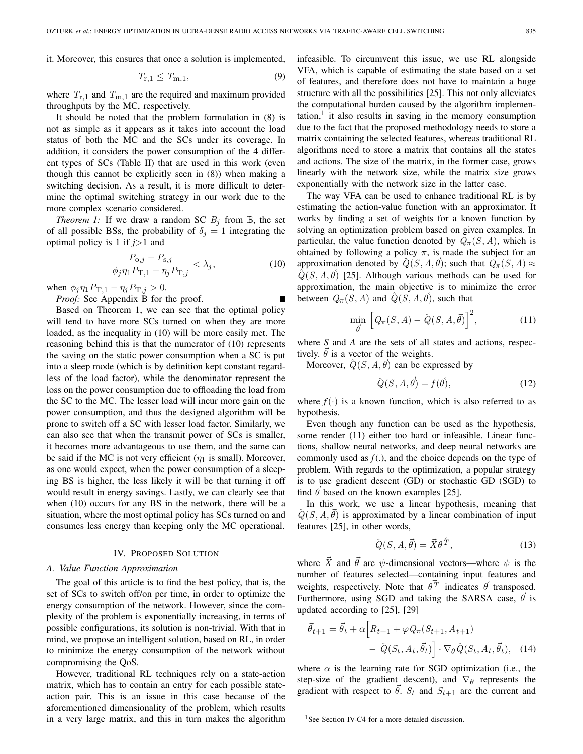it. Moreover, this ensures that once a solution is implemented,

$$
T_{\rm r,1} \le T_{\rm m,1},\tag{9}
$$

where  $T_{r,1}$  and  $T_{m,1}$  are the required and maximum provided throughputs by the MC, respectively.

It should be noted that the problem formulation in (8) is not as simple as it appears as it takes into account the load status of both the MC and the SCs under its coverage. In addition, it considers the power consumption of the 4 different types of SCs (Table II) that are used in this work (even though this cannot be explicitly seen in (8)) when making a switching decision. As a result, it is more difficult to determine the optimal switching strategy in our work due to the more complex scenario considered.

*Theorem 1:* If we draw a random SC  $B_j$  from  $\mathbb{B}$ , the set of all possible BSs, the probability of  $\delta_i = 1$  integrating the optimal policy is 1 if *j*>1 and

$$
\frac{P_{0,j} - P_{s,j}}{\phi_j \eta_1 P_{\mathrm{T},1} - \eta_j P_{\mathrm{T},j}} < \lambda_j,\tag{10}
$$

when  $\phi_j \eta_1 P_{\mathrm{T},1} - \eta_j P_{\mathrm{T},j} > 0$ .

*Proof:* See Appendix B for the proof.

Based on Theorem 1, we can see that the optimal policy will tend to have more SCs turned on when they are more loaded, as the inequality in (10) will be more easily met. The reasoning behind this is that the numerator of (10) represents the saving on the static power consumption when a SC is put into a sleep mode (which is by definition kept constant regardless of the load factor), while the denominator represent the loss on the power consumption due to offloading the load from the SC to the MC. The lesser load will incur more gain on the power consumption, and thus the designed algorithm will be prone to switch off a SC with lesser load factor. Similarly, we can also see that when the transmit power of SCs is smaller, it becomes more advantageous to use them, and the same can be said if the MC is not very efficient  $(\eta_1$  is small). Moreover, as one would expect, when the power consumption of a sleeping BS is higher, the less likely it will be that turning it off would result in energy savings. Lastly, we can clearly see that when (10) occurs for any BS in the network, there will be a situation, where the most optimal policy has SCs turned on and consumes less energy than keeping only the MC operational.

## IV. PROPOSED SOLUTION

#### *A. Value Function Approximation*

The goal of this article is to find the best policy, that is, the set of SCs to switch off/on per time, in order to optimize the energy consumption of the network. However, since the complexity of the problem is exponentially increasing, in terms of possible configurations, its solution is non-trivial. With that in mind, we propose an intelligent solution, based on RL, in order to minimize the energy consumption of the network without compromising the QoS.

However, traditional RL techniques rely on a state-action matrix, which has to contain an entry for each possible stateaction pair. This is an issue in this case because of the aforementioned dimensionality of the problem, which results in a very large matrix, and this in turn makes the algorithm infeasible. To circumvent this issue, we use RL alongside VFA, which is capable of estimating the state based on a set of features, and therefore does not have to maintain a huge structure with all the possibilities [25]. This not only alleviates the computational burden caused by the algorithm implemen- $\text{tation}$ , it also results in saving in the memory consumption due to the fact that the proposed methodology needs to store a matrix containing the selected features, whereas traditional RL algorithms need to store a matrix that contains all the states and actions. The size of the matrix, in the former case, grows linearly with the network size, while the matrix size grows exponentially with the network size in the latter case.

The way VFA can be used to enhance traditional RL is by estimating the action-value function with an approximator. It works by finding a set of weights for a known function by solving an optimization problem based on given examples. In particular, the value function denoted by  $Q_{\pi}(S, A)$ , which is obtained by following a policy  $\pi$ , is made the subject for an approximation denoted by  $\hat{Q}(S, A, \vec{\theta})$ ; such that  $Q_{\pi}(S, A) \approx$  $\tilde{Q}(S, A, \vec{\theta})$  [25]. Although various methods can be used for approximation, the main objective is to minimize the error between  $Q_{\pi}(S, A)$  and  $\hat{Q}(S, A, \vec{\theta})$ , such that

$$
\min_{\vec{\theta}} \left[ Q_{\pi}(S, A) - \hat{Q}(S, A, \vec{\theta}) \right]^2, \tag{11}
$$

where *S* and *A* are the sets of all states and actions, respectively.  $\theta$  is a vector of the weights.

Moreover,  $\hat{Q}(S, A, \vec{\theta})$  can be expressed by

$$
\hat{Q}(S, A, \vec{\theta}) = f(\vec{\theta}),\tag{12}
$$

where  $f(\cdot)$  is a known function, which is also referred to as hypothesis.

Even though any function can be used as the hypothesis, some render (11) either too hard or infeasible. Linear functions, shallow neural networks, and deep neural networks are commonly used as  $f(.)$ , and the choice depends on the type of problem. With regards to the optimization, a popular strategy is to use gradient descent (GD) or stochastic GD (SGD) to find  $\theta$  based on the known examples [25].

In this work, we use a linear hypothesis, meaning that  $\hat{Q}(S, A, \vec{\theta})$  is approximated by a linear combination of input features [25], in other words,

$$
\hat{Q}(S, A, \vec{\theta}) = \vec{X}\vec{\theta}^T,\tag{13}
$$

where  $\vec{X}$  and  $\vec{\theta}$  are  $\psi$ -dimensional vectors—where  $\psi$  is the number of features selected—containing input features and weights, respectively. Note that  $\theta \vec{T}$  indicates  $\vec{\theta}$  transposed. Furthermore, using SGD and taking the SARSA case,  $\vec{\theta}$  is updated according to [25], [29]

$$
\vec{\theta}_{t+1} = \vec{\theta}_t + \alpha \Big[ R_{t+1} + \varphi Q_\pi(S_{t+1}, A_{t+1}) - \hat{Q}(S_t, A_t, \vec{\theta}_t) \Big] \cdot \nabla_\theta \hat{Q}(S_t, A_t, \vec{\theta}_t), \quad (14)
$$

where  $\alpha$  is the learning rate for SGD optimization (i.e., the step-size of the gradient descent), and  $\nabla_{\theta}$  represents the gradient with respect to  $\theta$ .  $S_t$  and  $S_{t+1}$  are the current and

<sup>&</sup>lt;sup>1</sup>See Section IV-C4 for a more detailed discussion.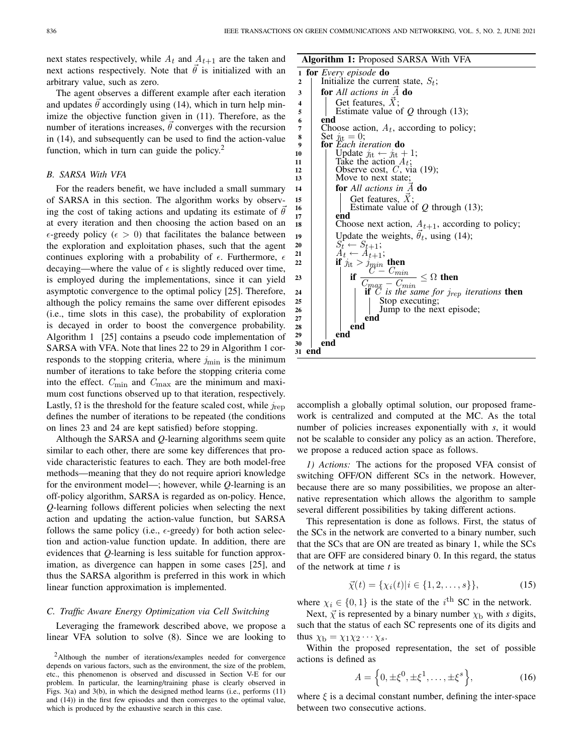next states respectively, while  $A_t$  and  $A_{t+1}$  are the taken and next actions respectively. Note that  $\vec{\theta}$  is initialized with an arbitrary value, such as zero.

The agent observes a different example after each iteration and updates  $\theta$  accordingly using (14), which in turn help minimize the objective function given in (11). Therefore, as the number of iterations increases,  $\theta$  converges with the recursion in (14), and subsequently can be used to find the action-value function, which in turn can guide the policy.<sup>2</sup>

#### *B. SARSA With VFA*

For the readers benefit, we have included a small summary of SARSA in this section. The algorithm works by observing the cost of taking actions and updating its estimate of  $\theta$ at every iteration and then choosing the action based on an  $\epsilon$ -greedy policy ( $\epsilon > 0$ ) that facilitates the balance between the exploration and exploitation phases, such that the agent continues exploring with a probability of  $\epsilon$ . Furthermore,  $\epsilon$ decaying—where the value of  $\epsilon$  is slightly reduced over time, is employed during the implementations, since it can yield asymptotic convergence to the optimal policy [25]. Therefore, although the policy remains the same over different episodes (i.e., time slots in this case), the probability of exploration is decayed in order to boost the convergence probability. Algorithm 1 [25] contains a pseudo code implementation of SARSA with VFA. Note that lines 22 to 29 in Algorithm 1 corresponds to the stopping criteria, where  $j_{\text{min}}$  is the minimum number of iterations to take before the stopping criteria come into the effect.  $C_{\text{min}}$  and  $C_{\text{max}}$  are the minimum and maximum cost functions observed up to that iteration, respectively. Lastly,  $\Omega$  is the threshold for the feature scaled cost, while  $j_{\text{rep}}$ defines the number of iterations to be repeated (the conditions on lines 23 and 24 are kept satisfied) before stopping.

Although the SARSA and *Q*-learning algorithms seem quite similar to each other, there are some key differences that provide characteristic features to each. They are both model-free methods—meaning that they do not require apriori knowledge for the environment model—; however, while *Q*-learning is an off-policy algorithm, SARSA is regarded as on-policy. Hence, *Q*-learning follows different policies when selecting the next action and updating the action-value function, but SARSA follows the same policy (i.e.,  $\epsilon$ -greedy) for both action selection and action-value function update. In addition, there are evidences that *Q*-learning is less suitable for function approximation, as divergence can happen in some cases [25], and thus the SARSA algorithm is preferred in this work in which linear function approximation is implemented.

## *C. Traffic Aware Energy Optimization via Cell Switching*

Leveraging the framework described above, we propose a linear VFA solution to solve (8). Since we are looking to **Algorithm 1:** Proposed SARSA With VFA



accomplish a globally optimal solution, our proposed framework is centralized and computed at the MC. As the total number of policies increases exponentially with *s*, it would not be scalable to consider any policy as an action. Therefore, we propose a reduced action space as follows.

*1) Actions:* The actions for the proposed VFA consist of switching OFF/ON different SCs in the network. However, because there are so many possibilities, we propose an alternative representation which allows the algorithm to sample several different possibilities by taking different actions.

This representation is done as follows. First, the status of the SCs in the network are converted to a binary number, such that the SCs that are ON are treated as binary 1, while the SCs that are OFF are considered binary 0. In this regard, the status of the network at time *t* is

$$
\vec{\chi}(t) = {\chi_i(t)|i \in \{1, 2, \dots, s\}},\tag{15}
$$

where  $\chi_i \in \{0, 1\}$  is the state of the i<sup>th</sup> SC in the network.

Next,  $\vec{\chi}$  is represented by a binary number  $\chi_{\rm b}$  with *s* digits, such that the status of each SC represents one of its digits and thus  $\chi_{\rm b} = \chi_1 \chi_2 \cdots \chi_s$ .

Within the proposed representation, the set of possible actions is defined as

$$
A = \left\{0, \pm \xi^0, \pm \xi^1, \dots, \pm \xi^s\right\},\tag{16}
$$

where  $\xi$  is a decimal constant number, defining the inter-space between two consecutive actions.

<sup>2</sup>Although the number of iterations/examples needed for convergence depends on various factors, such as the environment, the size of the problem, etc., this phenomenon is observed and discussed in Section V-E for our problem. In particular, the learning/training phase is clearly observed in Figs. 3(a) and 3(b), in which the designed method learns (i.e., performs (11) and (14)) in the first few episodes and then converges to the optimal value, which is produced by the exhaustive search in this case.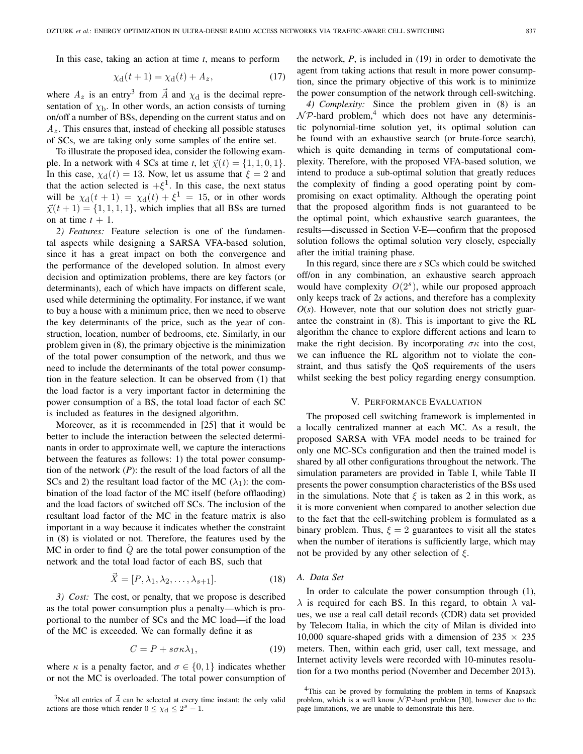In this case, taking an action at time *t*, means to perform

$$
\chi_{\mathbf{d}}(t+1) = \chi_{\mathbf{d}}(t) + A_z,\tag{17}
$$

where  $A_z$  is an entry<sup>3</sup> from  $\vec{A}$  and  $\chi_d$  is the decimal representation of  $\chi_{\rm b}$ . In other words, an action consists of turning on/off a number of BSs, depending on the current status and on  $A<sub>z</sub>$ . This ensures that, instead of checking all possible statuses of SCs, we are taking only some samples of the entire set.

To illustrate the proposed idea, consider the following example. In a network with 4 SCs at time *t*, let  $\vec{\chi}(t) = \{1, 1, 0, 1\}$ . In this case,  $\chi_d(t) = 13$ . Now, let us assume that  $\xi = 2$  and that the action selected is  $+\xi^1$ . In this case, the next status will be  $\chi_d(t+1) = \chi_d(t) + \xi^1 = 15$ , or in other words  $\vec{\chi}(t+1) = \{1, 1, 1, 1\}$ , which implies that all BSs are turned on at time  $t + 1$ .

*2) Features:* Feature selection is one of the fundamental aspects while designing a SARSA VFA-based solution, since it has a great impact on both the convergence and the performance of the developed solution. In almost every decision and optimization problems, there are key factors (or determinants), each of which have impacts on different scale, used while determining the optimality. For instance, if we want to buy a house with a minimum price, then we need to observe the key determinants of the price, such as the year of construction, location, number of bedrooms, etc. Similarly, in our problem given in (8), the primary objective is the minimization of the total power consumption of the network, and thus we need to include the determinants of the total power consumption in the feature selection. It can be observed from (1) that the load factor is a very important factor in determining the power consumption of a BS, the total load factor of each SC is included as features in the designed algorithm.

Moreover, as it is recommended in [25] that it would be better to include the interaction between the selected determinants in order to approximate well, we capture the interactions between the features as follows: 1) the total power consumption of the network (*P*): the result of the load factors of all the SCs and 2) the resultant load factor of the MC  $(\lambda_1)$ : the combination of the load factor of the MC itself (before offlaoding) and the load factors of switched off SCs. The inclusion of the resultant load factor of the MC in the feature matrix is also important in a way because it indicates whether the constraint in (8) is violated or not. Therefore, the features used by the MC in order to find  $\ddot{Q}$  are the total power consumption of the network and the total load factor of each BS, such that

$$
\vec{X} = [P, \lambda_1, \lambda_2, \dots, \lambda_{s+1}]. \tag{18}
$$

*3) Cost:* The cost, or penalty, that we propose is described as the total power consumption plus a penalty—which is proportional to the number of SCs and the MC load—if the load of the MC is exceeded. We can formally define it as

$$
C = P + s\sigma\kappa\lambda_1,\tag{19}
$$

where  $\kappa$  is a penalty factor, and  $\sigma \in \{0, 1\}$  indicates whether or not the MC is overloaded. The total power consumption of the network, *P*, is included in (19) in order to demotivate the agent from taking actions that result in more power consumption, since the primary objective of this work is to minimize the power consumption of the network through cell-switching.

*4) Complexity:* Since the problem given in (8) is an  $\mathcal{NP}$ -hard problem,<sup>4</sup> which does not have any deterministic polynomial-time solution yet, its optimal solution can be found with an exhaustive search (or brute-force search), which is quite demanding in terms of computational complexity. Therefore, with the proposed VFA-based solution, we intend to produce a sub-optimal solution that greatly reduces the complexity of finding a good operating point by compromising on exact optimality. Although the operating point that the proposed algorithm finds is not guaranteed to be the optimal point, which exhaustive search guarantees, the results—discussed in Section V-E—confirm that the proposed solution follows the optimal solution very closely, especially after the initial training phase.

In this regard, since there are *s* SCs which could be switched off/on in any combination, an exhaustive search approach would have complexity  $O(2<sup>s</sup>)$ , while our proposed approach only keeps track of 2*s* actions, and therefore has a complexity  $O(s)$ . However, note that our solution does not strictly guarantee the constraint in (8). This is important to give the RL algorithm the chance to explore different actions and learn to make the right decision. By incorporating  $\sigma \kappa$  into the cost, we can influence the RL algorithm not to violate the constraint, and thus satisfy the QoS requirements of the users whilst seeking the best policy regarding energy consumption.

#### V. PERFORMANCE EVALUATION

The proposed cell switching framework is implemented in a locally centralized manner at each MC. As a result, the proposed SARSA with VFA model needs to be trained for only one MC-SCs configuration and then the trained model is shared by all other configurations throughout the network. The simulation parameters are provided in Table I, while Table II presents the power consumption characteristics of the BSs used in the simulations. Note that  $\xi$  is taken as 2 in this work, as it is more convenient when compared to another selection due to the fact that the cell-switching problem is formulated as a binary problem. Thus,  $\xi = 2$  guarantees to visit all the states when the number of iterations is sufficiently large, which may not be provided by any other selection of  $\xi$ .

#### *A. Data Set*

In order to calculate the power consumption through (1),  $\lambda$  is required for each BS. In this regard, to obtain  $\lambda$  values, we use a real call detail records (CDR) data set provided by Telecom Italia, in which the city of Milan is divided into 10,000 square-shaped grids with a dimension of  $235 \times 235$ meters. Then, within each grid, user call, text message, and Internet activity levels were recorded with 10-minutes resolution for a two months period (November and December 2013).

<sup>&</sup>lt;sup>3</sup>Not all entries of  $\vec{A}$  can be selected at every time instant: the only valid actions are those which render  $0 \leq \chi_d \leq 2^s - 1$ .

<sup>4</sup>This can be proved by formulating the problem in terms of Knapsack problem, which is a well know  $N\mathcal{P}$ -hard problem [30], however due to the page limitations, we are unable to demonstrate this here.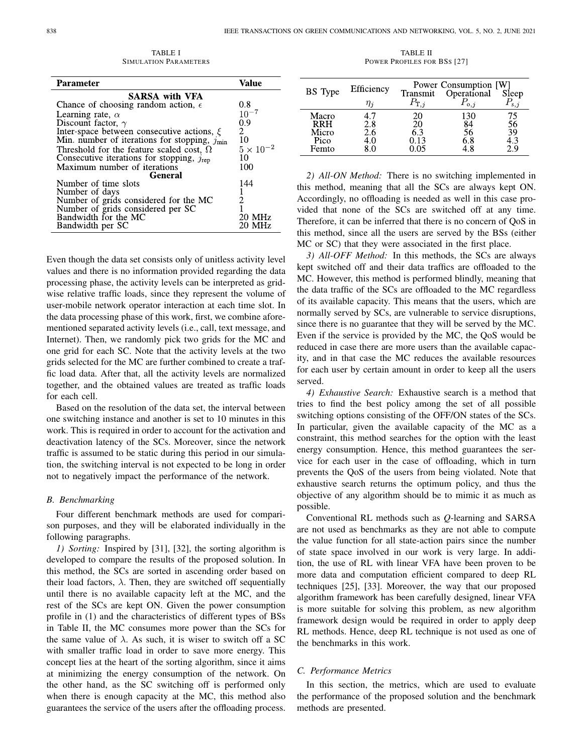| <b>Parameter</b>                                         | Value            |  |  |  |  |
|----------------------------------------------------------|------------------|--|--|--|--|
| <b>SARSA with VFA</b>                                    |                  |  |  |  |  |
| Chance of choosing random action, $\epsilon$             | 0.8              |  |  |  |  |
| Learning rate, $\alpha$                                  | $10^{-7}$        |  |  |  |  |
| Discount factor, $\gamma$                                | 0.9              |  |  |  |  |
| Inter-space between consecutive actions, $\xi$           | 2                |  |  |  |  |
| Min. number of iterations for stopping, $j_{\text{min}}$ | 10               |  |  |  |  |
| Threshold for the feature scaled cost, $\Omega$          | $5\times10^{-2}$ |  |  |  |  |
| Consecutive iterations for stopping, $j_{\text{rep}}$    | 10               |  |  |  |  |
| Maximum number of iterations                             | 100              |  |  |  |  |
| <b>General</b>                                           |                  |  |  |  |  |
| Number of time slots                                     | 144              |  |  |  |  |
| Number of days                                           |                  |  |  |  |  |
| Number of grids considered for the MC                    |                  |  |  |  |  |
| Number of grids considered per SC                        |                  |  |  |  |  |
| Bandwidth for the MC                                     | 20 MHz           |  |  |  |  |
| Bandwidth per SC                                         | 20 MHz           |  |  |  |  |
|                                                          |                  |  |  |  |  |

TABLE I SIMULATION PARAMETERS

Even though the data set consists only of unitless activity level values and there is no information provided regarding the data processing phase, the activity levels can be interpreted as gridwise relative traffic loads, since they represent the volume of user-mobile network operator interaction at each time slot. In the data processing phase of this work, first, we combine aforementioned separated activity levels (i.e., call, text message, and Internet). Then, we randomly pick two grids for the MC and one grid for each SC. Note that the activity levels at the two grids selected for the MC are further combined to create a traffic load data. After that, all the activity levels are normalized together, and the obtained values are treated as traffic loads for each cell.

Based on the resolution of the data set, the interval between one switching instance and another is set to 10 minutes in this work. This is required in order to account for the activation and deactivation latency of the SCs. Moreover, since the network traffic is assumed to be static during this period in our simulation, the switching interval is not expected to be long in order not to negatively impact the performance of the network.

#### *B. Benchmarking*

Four different benchmark methods are used for comparison purposes, and they will be elaborated individually in the following paragraphs.

*1) Sorting:* Inspired by [31], [32], the sorting algorithm is developed to compare the results of the proposed solution. In this method, the SCs are sorted in ascending order based on their load factors,  $\lambda$ . Then, they are switched off sequentially until there is no available capacity left at the MC, and the rest of the SCs are kept ON. Given the power consumption profile in (1) and the characteristics of different types of BSs in Table II, the MC consumes more power than the SCs for the same value of  $\lambda$ . As such, it is wiser to switch off a SC with smaller traffic load in order to save more energy. This concept lies at the heart of the sorting algorithm, since it aims at minimizing the energy consumption of the network. On the other hand, as the SC switching off is performed only when there is enough capacity at the MC, this method also guarantees the service of the users after the offloading process.

TABLE II POWER PROFILES FOR BSS [27]

| <b>BS</b> Type                                | Efficiency<br>$\eta_i$ | Transmit<br>$P_{\mathrm{T},i}$ | Power Consumption [W]<br>Operational<br>$P_{0,j}$ | Sleep    |
|-----------------------------------------------|------------------------|--------------------------------|---------------------------------------------------|----------|
| Macro<br><b>RRH</b><br>Micro<br>Pico<br>Femto | 2.8<br>2.6<br>$+0.1$   | 20<br>20<br>6.3<br>0.13<br>05  | 84<br>56<br>6.8                                   | 56<br>39 |

*2) All-ON Method:* There is no switching implemented in this method, meaning that all the SCs are always kept ON. Accordingly, no offloading is needed as well in this case provided that none of the SCs are switched off at any time. Therefore, it can be inferred that there is no concern of QoS in this method, since all the users are served by the BSs (either MC or SC) that they were associated in the first place.

*3) All-OFF Method:* In this methods, the SCs are always kept switched off and their data traffics are offloaded to the MC. However, this method is performed blindly, meaning that the data traffic of the SCs are offloaded to the MC regardless of its available capacity. This means that the users, which are normally served by SCs, are vulnerable to service disruptions, since there is no guarantee that they will be served by the MC. Even if the service is provided by the MC, the QoS would be reduced in case there are more users than the available capacity, and in that case the MC reduces the available resources for each user by certain amount in order to keep all the users served.

*4) Exhaustive Search:* Exhaustive search is a method that tries to find the best policy among the set of all possible switching options consisting of the OFF/ON states of the SCs. In particular, given the available capacity of the MC as a constraint, this method searches for the option with the least energy consumption. Hence, this method guarantees the service for each user in the case of offloading, which in turn prevents the QoS of the users from being violated. Note that exhaustive search returns the optimum policy, and thus the objective of any algorithm should be to mimic it as much as possible.

Conventional RL methods such as *Q*-learning and SARSA are not used as benchmarks as they are not able to compute the value function for all state-action pairs since the number of state space involved in our work is very large. In addition, the use of RL with linear VFA have been proven to be more data and computation efficient compared to deep RL techniques [25], [33]. Moreover, the way that our proposed algorithm framework has been carefully designed, linear VFA is more suitable for solving this problem, as new algorithm framework design would be required in order to apply deep RL methods. Hence, deep RL technique is not used as one of the benchmarks in this work.

## *C. Performance Metrics*

In this section, the metrics, which are used to evaluate the performance of the proposed solution and the benchmark methods are presented.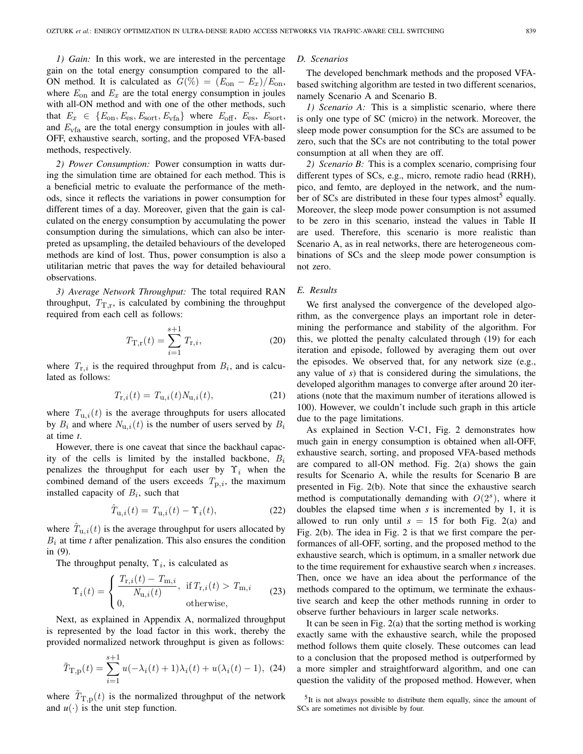*1) Gain:* In this work, we are interested in the percentage gain on the total energy consumption compared to the all-ON method. It is calculated as  $G(\%) = (E_{on} - E_x)/E_{on}$ , where  $E_{on}$  and  $E_x$  are the total energy consumption in joules with all-ON method and with one of the other methods, such that  $E_x \in \{E_{\text{on}}, E_{\text{es}}, E_{\text{sort}}, E_{\text{vfa}}\}$  where  $E_{\text{off}}$ ,  $E_{\text{es}}$ ,  $E_{\text{sort}}$ , and  $E_{\rm vfa}$  are the total energy consumption in joules with all-OFF, exhaustive search, sorting, and the proposed VFA-based methods, respectively.

*2) Power Consumption:* Power consumption in watts during the simulation time are obtained for each method. This is a beneficial metric to evaluate the performance of the methods, since it reflects the variations in power consumption for different times of a day. Moreover, given that the gain is calculated on the energy consumption by accumulating the power consumption during the simulations, which can also be interpreted as upsampling, the detailed behaviours of the developed methods are kind of lost. Thus, power consumption is also a utilitarian metric that paves the way for detailed behavioural observations.

*3) Average Network Throughput:* The total required RAN throughput,  $T_{\text{T,r}}$ , is calculated by combining the throughput required from each cell as follows:

$$
T_{\mathcal{T},\mathbf{r}}(t) = \sum_{i=1}^{s+1} T_{\mathbf{r},i},\tag{20}
$$

where  $T_{\text{r},i}$  is the required throughput from  $B_i$ , and is calculated as follows:

$$
T_{\mathbf{r},i}(t) = T_{\mathbf{u},i}(t)N_{\mathbf{u},i}(t),\tag{21}
$$

where  $T_{u,i}(t)$  is the average throughputs for users allocated by  $B_i$  and where  $N_{u,i}(t)$  is the number of users served by  $B_i$ at time *t*.

However, there is one caveat that since the backhaul capacity of the cells is limited by the installed backbone,  $B_i$ penalizes the throughput for each user by  $\Upsilon_i$  when the combined demand of the users exceeds  $T_{p,i}$ , the maximum installed capacity of  $B_i$ , such that

$$
\hat{T}_{\mathbf{u},i}(t) = T_{\mathbf{u},i}(t) - \Upsilon_i(t),\tag{22}
$$

where  $\hat{T}_{u,i}(t)$  is the average throughput for users allocated by  $B_i$  at time  $t$  after penalization. This also ensures the condition in (9).

The throughput penalty,  $\Upsilon_i$ , is calculated as

$$
\Upsilon_i(t) = \begin{cases} \frac{T_{\text{r},i}(t) - T_{\text{m},i}}{N_{\text{u},i}(t)}, & \text{if } T_{\text{r},i}(t) > T_{\text{m},i} \\ 0, & \text{otherwise,} \end{cases} \tag{23}
$$

Next, as explained in Appendix A, normalized throughput is represented by the load factor in this work, thereby the provided normalized network throughput is given as follows:

$$
\tilde{T}_{\mathrm{T,p}}(t) = \sum_{i=1}^{s+1} u(-\lambda_i(t) + 1)\lambda_i(t) + u(\lambda_i(t) - 1), \tag{24}
$$

where  $T_{\text{T,p}}(t)$  is the normalized throughput of the network and  $u(\cdot)$  is the unit step function.

#### *D. Scenarios*

The developed benchmark methods and the proposed VFAbased switching algorithm are tested in two different scenarios, namely Scenario A and Scenario B.

*1) Scenario A:* This is a simplistic scenario, where there is only one type of SC (micro) in the network. Moreover, the sleep mode power consumption for the SCs are assumed to be zero, such that the SCs are not contributing to the total power consumption at all when they are off.

*2) Scenario B:* This is a complex scenario, comprising four different types of SCs, e.g., micro, remote radio head (RRH), pico, and femto, are deployed in the network, and the number of SCs are distributed in these four types almost<sup>5</sup> equally. Moreover, the sleep mode power consumption is not assumed to be zero in this scenario, instead the values in Table II are used. Therefore, this scenario is more realistic than Scenario A, as in real networks, there are heterogeneous combinations of SCs and the sleep mode power consumption is not zero.

#### *E. Results*

We first analysed the convergence of the developed algorithm, as the convergence plays an important role in determining the performance and stability of the algorithm. For this, we plotted the penalty calculated through (19) for each iteration and episode, followed by averaging them out over the episodes. We observed that, for any network size (e.g., any value of *s*) that is considered during the simulations, the developed algorithm manages to converge after around 20 iterations (note that the maximum number of iterations allowed is 100). However, we couldn't include such graph in this article due to the page limitations.

As explained in Section V-C1, Fig. 2 demonstrates how much gain in energy consumption is obtained when all-OFF, exhaustive search, sorting, and proposed VFA-based methods are compared to all-ON method. Fig. 2(a) shows the gain results for Scenario A, while the results for Scenario B are presented in Fig. 2(b). Note that since the exhaustive search method is computationally demanding with  $O(2<sup>s</sup>)$ , where it doubles the elapsed time when *s* is incremented by 1, it is allowed to run only until  $s = 15$  for both Fig. 2(a) and Fig. 2(b). The idea in Fig. 2 is that we first compare the performances of all-OFF, sorting, and the proposed method to the exhaustive search, which is optimum, in a smaller network due to the time requirement for exhaustive search when *s* increases. Then, once we have an idea about the performance of the methods compared to the optimum, we terminate the exhaustive search and keep the other methods running in order to observe further behaviours in larger scale networks.

It can be seen in Fig. 2(a) that the sorting method is working exactly same with the exhaustive search, while the proposed method follows them quite closely. These outcomes can lead to a conclusion that the proposed method is outperformed by a more simpler and straightforward algorithm, and one can question the validity of the proposed method. However, when

<sup>&</sup>lt;sup>5</sup>It is not always possible to distribute them equally, since the amount of SCs are sometimes not divisible by four.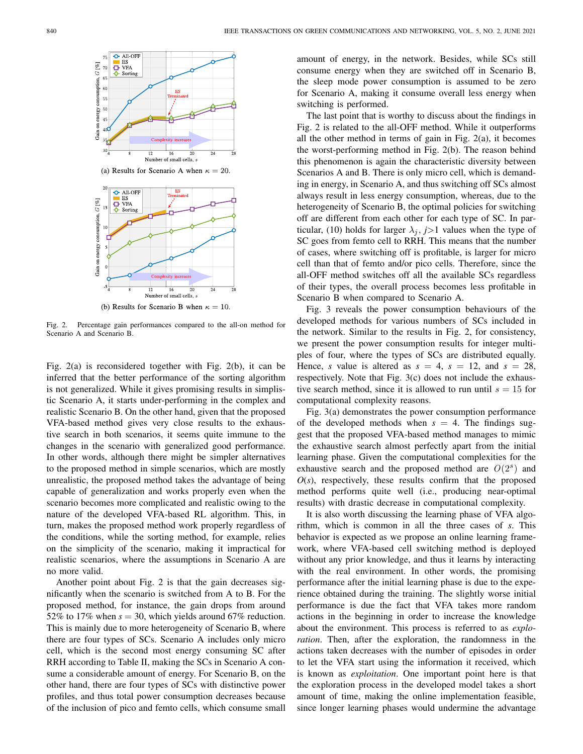

Fig. 2. Percentage gain performances compared to the all-on method for Scenario A and Scenario B.

Fig. 2(a) is reconsidered together with Fig. 2(b), it can be inferred that the better performance of the sorting algorithm is not generalized. While it gives promising results in simplistic Scenario A, it starts under-performing in the complex and realistic Scenario B. On the other hand, given that the proposed VFA-based method gives very close results to the exhaustive search in both scenarios, it seems quite immune to the changes in the scenario with generalized good performance. In other words, although there might be simpler alternatives to the proposed method in simple scenarios, which are mostly unrealistic, the proposed method takes the advantage of being capable of generalization and works properly even when the scenario becomes more complicated and realistic owing to the nature of the developed VFA-based RL algorithm. This, in turn, makes the proposed method work properly regardless of the conditions, while the sorting method, for example, relies on the simplicity of the scenario, making it impractical for realistic scenarios, where the assumptions in Scenario A are no more valid.

Another point about Fig. 2 is that the gain decreases significantly when the scenario is switched from A to B. For the proposed method, for instance, the gain drops from around 52% to 17% when  $s = 30$ , which yields around 67% reduction. This is mainly due to more heterogeneity of Scenario B, where there are four types of SCs. Scenario A includes only micro cell, which is the second most energy consuming SC after RRH according to Table II, making the SCs in Scenario A consume a considerable amount of energy. For Scenario B, on the other hand, there are four types of SCs with distinctive power profiles, and thus total power consumption decreases because of the inclusion of pico and femto cells, which consume small amount of energy, in the network. Besides, while SCs still consume energy when they are switched off in Scenario B, the sleep mode power consumption is assumed to be zero for Scenario A, making it consume overall less energy when switching is performed.

The last point that is worthy to discuss about the findings in Fig. 2 is related to the all-OFF method. While it outperforms all the other method in terms of gain in Fig. 2(a), it becomes the worst-performing method in Fig. 2(b). The reason behind this phenomenon is again the characteristic diversity between Scenarios A and B. There is only micro cell, which is demanding in energy, in Scenario A, and thus switching off SCs almost always result in less energy consumption, whereas, due to the heterogeneity of Scenario B, the optimal policies for switching off are different from each other for each type of SC. In particular, (10) holds for larger  $\lambda_j$ ,  $j>1$  values when the type of SC goes from femto cell to RRH. This means that the number of cases, where switching off is profitable, is larger for micro cell than that of femto and/or pico cells. Therefore, since the all-OFF method switches off all the available SCs regardless of their types, the overall process becomes less profitable in Scenario B when compared to Scenario A.

Fig. 3 reveals the power consumption behaviours of the developed methods for various numbers of SCs included in the network. Similar to the results in Fig. 2, for consistency, we present the power consumption results for integer multiples of four, where the types of SCs are distributed equally. Hence, *s* value is altered as  $s = 4$ ,  $s = 12$ , and  $s = 28$ , respectively. Note that Fig. 3(c) does not include the exhaustive search method, since it is allowed to run until  $s = 15$  for computational complexity reasons.

Fig. 3(a) demonstrates the power consumption performance of the developed methods when  $s = 4$ . The findings suggest that the proposed VFA-based method manages to mimic the exhaustive search almost perfectly apart from the initial learning phase. Given the computational complexities for the exhaustive search and the proposed method are  $O(2<sup>s</sup>)$  and  $O(s)$ , respectively, these results confirm that the proposed method performs quite well (i.e., producing near-optimal results) with drastic decrease in computational complexity.

It is also worth discussing the learning phase of VFA algorithm, which is common in all the three cases of *s*. This behavior is expected as we propose an online learning framework, where VFA-based cell switching method is deployed without any prior knowledge, and thus it learns by interacting with the real environment. In other words, the promising performance after the initial learning phase is due to the experience obtained during the training. The slightly worse initial performance is due the fact that VFA takes more random actions in the beginning in order to increase the knowledge about the environment. This process is referred to as *exploration*. Then, after the exploration, the randomness in the actions taken decreases with the number of episodes in order to let the VFA start using the information it received, which is known as *exploitation*. One important point here is that the exploration process in the developed model takes a short amount of time, making the online implementation feasible, since longer learning phases would undermine the advantage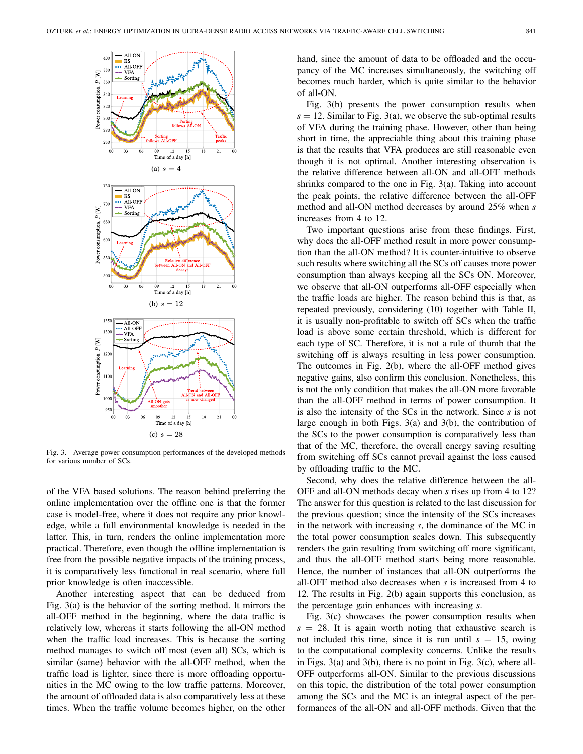

Fig. 3. Average power consumption performances of the developed methods for various number of SCs.

of the VFA based solutions. The reason behind preferring the online implementation over the offline one is that the former case is model-free, where it does not require any prior knowledge, while a full environmental knowledge is needed in the latter. This, in turn, renders the online implementation more practical. Therefore, even though the offline implementation is free from the possible negative impacts of the training process, it is comparatively less functional in real scenario, where full prior knowledge is often inaccessible.

Another interesting aspect that can be deduced from Fig. 3(a) is the behavior of the sorting method. It mirrors the all-OFF method in the beginning, where the data traffic is relatively low, whereas it starts following the all-ON method when the traffic load increases. This is because the sorting method manages to switch off most (even all) SCs, which is similar (same) behavior with the all-OFF method, when the traffic load is lighter, since there is more offloading opportunities in the MC owing to the low traffic patterns. Moreover, the amount of offloaded data is also comparatively less at these times. When the traffic volume becomes higher, on the other hand, since the amount of data to be offloaded and the occupancy of the MC increases simultaneously, the switching off becomes much harder, which is quite similar to the behavior of all-ON.

Fig. 3(b) presents the power consumption results when  $s = 12$ . Similar to Fig. 3(a), we observe the sub-optimal results of VFA during the training phase. However, other than being short in time, the appreciable thing about this training phase is that the results that VFA produces are still reasonable even though it is not optimal. Another interesting observation is the relative difference between all-ON and all-OFF methods shrinks compared to the one in Fig. 3(a). Taking into account the peak points, the relative difference between the all-OFF method and all-ON method decreases by around 25% when *s* increases from 4 to 12.

Two important questions arise from these findings. First, why does the all-OFF method result in more power consumption than the all-ON method? It is counter-intuitive to observe such results where switching all the SCs off causes more power consumption than always keeping all the SCs ON. Moreover, we observe that all-ON outperforms all-OFF especially when the traffic loads are higher. The reason behind this is that, as repeated previously, considering (10) together with Table II, it is usually non-profitable to switch off SCs when the traffic load is above some certain threshold, which is different for each type of SC. Therefore, it is not a rule of thumb that the switching off is always resulting in less power consumption. The outcomes in Fig. 2(b), where the all-OFF method gives negative gains, also confirm this conclusion. Nonetheless, this is not the only condition that makes the all-ON more favorable than the all-OFF method in terms of power consumption. It is also the intensity of the SCs in the network. Since *s* is not large enough in both Figs. 3(a) and 3(b), the contribution of the SCs to the power consumption is comparatively less than that of the MC, therefore, the overall energy saving resulting from switching off SCs cannot prevail against the loss caused by offloading traffic to the MC.

Second, why does the relative difference between the all-OFF and all-ON methods decay when *s* rises up from 4 to 12? The answer for this question is related to the last discussion for the previous question; since the intensity of the SCs increases in the network with increasing *s*, the dominance of the MC in the total power consumption scales down. This subsequently renders the gain resulting from switching off more significant, and thus the all-OFF method starts being more reasonable. Hence, the number of instances that all-ON outperforms the all-OFF method also decreases when *s* is increased from 4 to 12. The results in Fig. 2(b) again supports this conclusion, as the percentage gain enhances with increasing *s*.

Fig. 3(c) showcases the power consumption results when  $s = 28$ . It is again worth noting that exhaustive search is not included this time, since it is run until  $s = 15$ , owing to the computational complexity concerns. Unlike the results in Figs. 3(a) and 3(b), there is no point in Fig. 3(c), where all-OFF outperforms all-ON. Similar to the previous discussions on this topic, the distribution of the total power consumption among the SCs and the MC is an integral aspect of the performances of the all-ON and all-OFF methods. Given that the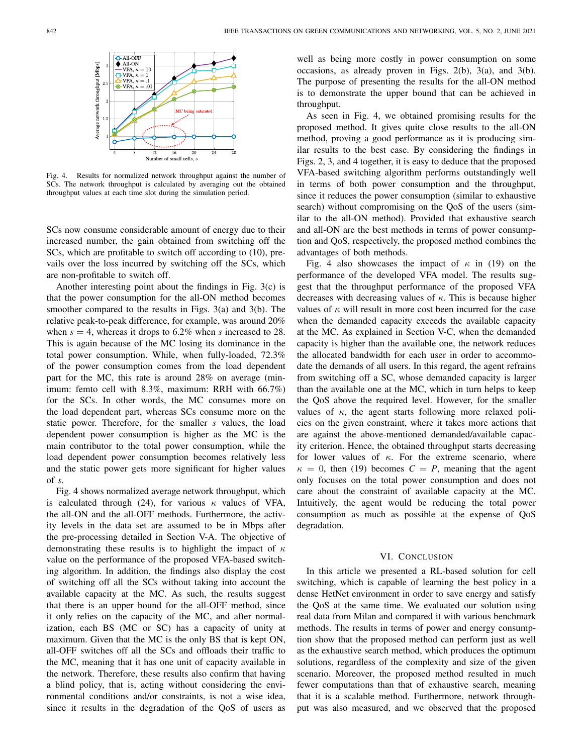

Fig. 4. Results for normalized network throughput against the number of SCs. The network throughput is calculated by averaging out the obtained throughput values at each time slot during the simulation period.

SCs now consume considerable amount of energy due to their increased number, the gain obtained from switching off the SCs, which are profitable to switch off according to (10), prevails over the loss incurred by switching off the SCs, which are non-profitable to switch off.

Another interesting point about the findings in Fig. 3(c) is that the power consumption for the all-ON method becomes smoother compared to the results in Figs. 3(a) and 3(b). The relative peak-to-peak difference, for example, was around 20% when  $s = 4$ , whereas it drops to 6.2% when *s* increased to 28. This is again because of the MC losing its dominance in the total power consumption. While, when fully-loaded, 72.3% of the power consumption comes from the load dependent part for the MC, this rate is around 28% on average (minimum: femto cell with 8.3%, maximum: RRH with 66.7%) for the SCs. In other words, the MC consumes more on the load dependent part, whereas SCs consume more on the static power. Therefore, for the smaller *s* values, the load dependent power consumption is higher as the MC is the main contributor to the total power consumption, while the load dependent power consumption becomes relatively less and the static power gets more significant for higher values of *s*.

Fig. 4 shows normalized average network throughput, which is calculated through (24), for various  $\kappa$  values of VFA, the all-ON and the all-OFF methods. Furthermore, the activity levels in the data set are assumed to be in Mbps after the pre-processing detailed in Section V-A. The objective of demonstrating these results is to highlight the impact of  $\kappa$ value on the performance of the proposed VFA-based switching algorithm. In addition, the findings also display the cost of switching off all the SCs without taking into account the available capacity at the MC. As such, the results suggest that there is an upper bound for the all-OFF method, since it only relies on the capacity of the MC, and after normalization, each BS (MC or SC) has a capacity of unity at maximum. Given that the MC is the only BS that is kept ON, all-OFF switches off all the SCs and offloads their traffic to the MC, meaning that it has one unit of capacity available in the network. Therefore, these results also confirm that having a blind policy, that is, acting without considering the environmental conditions and/or constraints, is not a wise idea, since it results in the degradation of the QoS of users as

well as being more costly in power consumption on some occasions, as already proven in Figs. 2(b), 3(a), and 3(b). The purpose of presenting the results for the all-ON method is to demonstrate the upper bound that can be achieved in throughput.

As seen in Fig. 4, we obtained promising results for the proposed method. It gives quite close results to the all-ON method, proving a good performance as it is producing similar results to the best case. By considering the findings in Figs. 2, 3, and 4 together, it is easy to deduce that the proposed VFA-based switching algorithm performs outstandingly well in terms of both power consumption and the throughput, since it reduces the power consumption (similar to exhaustive search) without compromising on the QoS of the users (similar to the all-ON method). Provided that exhaustive search and all-ON are the best methods in terms of power consumption and QoS, respectively, the proposed method combines the advantages of both methods.

Fig. 4 also showcases the impact of  $\kappa$  in (19) on the performance of the developed VFA model. The results suggest that the throughput performance of the proposed VFA decreases with decreasing values of  $\kappa$ . This is because higher values of  $\kappa$  will result in more cost been incurred for the case when the demanded capacity exceeds the available capacity at the MC. As explained in Section V-C, when the demanded capacity is higher than the available one, the network reduces the allocated bandwidth for each user in order to accommodate the demands of all users. In this regard, the agent refrains from switching off a SC, whose demanded capacity is larger than the available one at the MC, which in turn helps to keep the QoS above the required level. However, for the smaller values of  $\kappa$ , the agent starts following more relaxed policies on the given constraint, where it takes more actions that are against the above-mentioned demanded/available capacity criterion. Hence, the obtained throughput starts decreasing for lower values of  $\kappa$ . For the extreme scenario, where  $\kappa = 0$ , then (19) becomes  $C = P$ , meaning that the agent only focuses on the total power consumption and does not care about the constraint of available capacity at the MC. Intuitively, the agent would be reducing the total power consumption as much as possible at the expense of QoS degradation.

#### VI. CONCLUSION

In this article we presented a RL-based solution for cell switching, which is capable of learning the best policy in a dense HetNet environment in order to save energy and satisfy the QoS at the same time. We evaluated our solution using real data from Milan and compared it with various benchmark methods. The results in terms of power and energy consumption show that the proposed method can perform just as well as the exhaustive search method, which produces the optimum solutions, regardless of the complexity and size of the given scenario. Moreover, the proposed method resulted in much fewer computations than that of exhaustive search, meaning that it is a scalable method. Furthermore, network throughput was also measured, and we observed that the proposed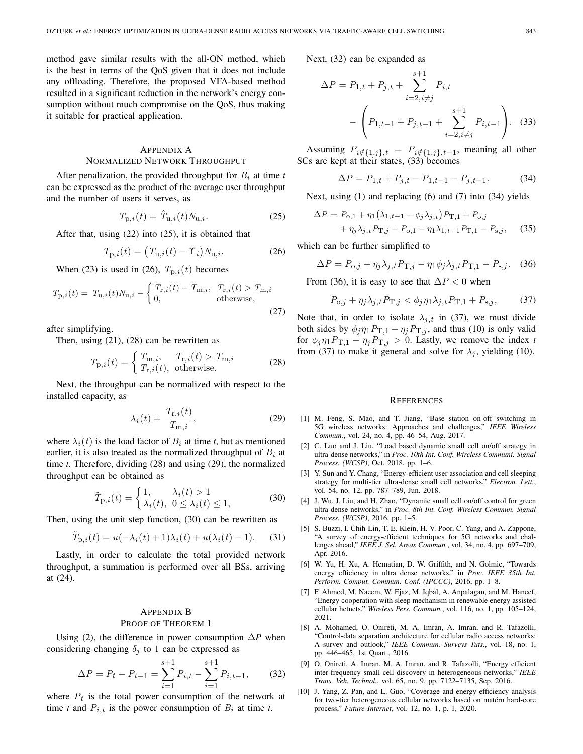method gave similar results with the all-ON method, which is the best in terms of the QoS given that it does not include any offloading. Therefore, the proposed VFA-based method resulted in a significant reduction in the network's energy consumption without much compromise on the QoS, thus making it suitable for practical application.

## APPENDIX A NORMALIZED NETWORK THROUGHPUT

After penalization, the provided throughput for  $B_i$  at time  $t$ can be expressed as the product of the average user throughput and the number of users it serves, as

$$
T_{\mathbf{p},i}(t) = \hat{T}_{\mathbf{u},i}(t) N_{\mathbf{u},i}.
$$
 (25)

After that, using (22) into (25), it is obtained that

$$
T_{\mathbf{p},i}(t) = (T_{\mathbf{u},i}(t) - \Upsilon_i) N_{\mathbf{u},i}.
$$
 (26)

When (23) is used in (26),  $T_{p,i}(t)$  becomes

$$
T_{\text{p},i}(t) = T_{\text{u},i}(t)N_{\text{u},i} - \begin{cases} T_{\text{r},i}(t) - T_{\text{m},i}, & T_{\text{r},i}(t) > T_{\text{m},i} \\ 0, & \text{otherwise,} \end{cases} \tag{27}
$$

after simplifying.

Then, using (21), (28) can be rewritten as

$$
T_{\mathbf{p},i}(t) = \begin{cases} T_{\mathbf{m},i}, & T_{\mathbf{r},i}(t) > T_{\mathbf{m},i} \\ T_{\mathbf{r},i}(t), & \text{otherwise.} \end{cases}
$$
 (28)

Next, the throughput can be normalized with respect to the installed capacity, as

$$
\lambda_i(t) = \frac{T_{\mathbf{r},i}(t)}{T_{\mathbf{m},i}},\tag{29}
$$

where  $\lambda_i(t)$  is the load factor of  $B_i$  at time *t*, but as mentioned earlier, it is also treated as the normalized throughput of  $B_i$  at time *t*. Therefore, dividing (28) and using (29), the normalized throughput can be obtained as

$$
\tilde{T}_{p,i}(t) = \begin{cases} 1, & \lambda_i(t) > 1 \\ \lambda_i(t), & 0 \le \lambda_i(t) \le 1, \end{cases}
$$
\n(30)

Then, using the unit step function, (30) can be rewritten as

$$
\tilde{T}_{p,i}(t) = u(-\lambda_i(t) + 1)\lambda_i(t) + u(\lambda_i(t) - 1).
$$
 (31)

Lastly, in order to calculate the total provided network throughput, a summation is performed over all BSs, arriving at (24).

### APPENDIX B PROOF OF THEOREM 1

Using (2), the difference in power consumption ∆*P* when considering changing  $\delta_j$  to 1 can be expressed as

$$
\Delta P = P_t - P_{t-1} = \sum_{i=1}^{s+1} P_{i,t} - \sum_{i=1}^{s+1} P_{i,t-1},\qquad(32)
$$

where  $P_t$  is the total power consumption of the network at time *t* and  $P_{i,t}$  is the power consumption of  $B_i$  at time *t*.

Next, (32) can be expanded as

$$
\Delta P = P_{1,t} + P_{j,t} + \sum_{i=2, i \neq j}^{s+1} P_{i,t} - \left( P_{1,t-1} + P_{j,t-1} + \sum_{i=2, i \neq j}^{s+1} P_{i,t-1} \right). \quad (33)
$$

Assuming  $P_{i \notin \{1,j\},t} = P_{i \notin \{1,j\},t-1}$ , meaning all other SCs are kept at their states, (33) becomes

$$
\Delta P = P_{1,t} + P_{j,t} - P_{1,t-1} - P_{j,t-1}.
$$
 (34)

Next, using (1) and replacing (6) and (7) into (34) yields

$$
\Delta P = P_{o,1} + \eta_1 (\lambda_{1,t-1} - \phi_j \lambda_{j,t}) P_{T,1} + P_{o,j} + \eta_j \lambda_{j,t} P_{T,j} - P_{o,1} - \eta_1 \lambda_{1,t-1} P_{T,1} - P_{s,j},
$$
(35)

which can be further simplified to

$$
\Delta P = P_{0,j} + \eta_j \lambda_{j,t} P_{\mathrm{T},j} - \eta_1 \phi_j \lambda_{j,t} P_{\mathrm{T},1} - P_{\mathrm{s},j}.\tag{36}
$$

From (36), it is easy to see that  $\Delta P < 0$  when

$$
P_{\text{o},j} + \eta_j \lambda_{j,t} P_{\text{T},j} < \phi_j \eta_1 \lambda_{j,t} P_{\text{T},1} + P_{\text{s},j},\tag{37}
$$

Note that, in order to isolate  $\lambda_{j,t}$  in (37), we must divide both sides by  $\phi_j \eta_1 P_{\mathrm{T},1} - \eta_j P_{\mathrm{T},j}$ , and thus (10) is only valid for  $\phi_j \eta_1 P_{\mathrm{T},1} - \eta_j P_{\mathrm{T},j} > 0$ . Lastly, we remove the index *t* from (37) to make it general and solve for  $\lambda_j$ , yielding (10).

#### **REFERENCES**

- [1] M. Feng, S. Mao, and T. Jiang, "Base station on-off switching in 5G wireless networks: Approaches and challenges," *IEEE Wireless Commun.*, vol. 24, no. 4, pp. 46–54, Aug. 2017.
- [2] C. Luo and J. Liu, "Load based dynamic small cell on/off strategy in ultra-dense networks," in *Proc. 10th Int. Conf. Wireless Communi. Signal Process. (WCSP)*, Oct. 2018, pp. 1–6.
- [3] Y. Sun and Y. Chang, "Energy-efficient user association and cell sleeping strategy for multi-tier ultra-dense small cell networks," *Electron. Lett.*, vol. 54, no. 12, pp. 787–789, Jun. 2018.
- [4] J. Wu, J. Liu, and H. Zhao, "Dynamic small cell on/off control for green ultra-dense networks," in *Proc. 8th Int. Conf. Wireless Commun. Signal Process. (WCSP)*, 2016, pp. 1–5.
- [5] S. Buzzi, I. Chih-Lin, T. E. Klein, H. V. Poor, C. Yang, and A. Zappone, "A survey of energy-efficient techniques for 5G networks and challenges ahead," *IEEE J. Sel. Areas Commun.*, vol. 34, no. 4, pp. 697–709, Apr. 2016.
- [6] W. Yu, H. Xu, A. Hematian, D. W. Griffith, and N. Golmie, "Towards energy efficiency in ultra dense networks," in *Proc. IEEE 35th Int. Perform. Comput. Commun. Conf. (IPCCC)*, 2016, pp. 1–8.
- [7] F. Ahmed, M. Naeem, W. Ejaz, M. Iqbal, A. Anpalagan, and M. Haneef, "Energy cooperation with sleep mechanism in renewable energy assisted cellular hetnets," *Wireless Pers. Commun.*, vol. 116, no. 1, pp. 105–124, 2021.
- [8] A. Mohamed, O. Onireti, M. A. Imran, A. Imran, and R. Tafazolli, "Control-data separation architecture for cellular radio access networks: A survey and outlook," *IEEE Commun. Surveys Tuts.*, vol. 18, no. 1, pp. 446–465, 1st Quart., 2016.
- [9] O. Onireti, A. Imran, M. A. Imran, and R. Tafazolli, "Energy efficient inter-frequency small cell discovery in heterogeneous networks," *IEEE Trans. Veh. Technol.*, vol. 65, no. 9, pp. 7122–7135, Sep. 2016.
- [10] J. Yang, Z. Pan, and L. Guo, "Coverage and energy efficiency analysis for two-tier heterogeneous cellular networks based on matérn hard-core process," *Future Internet*, vol. 12, no. 1, p. 1, 2020.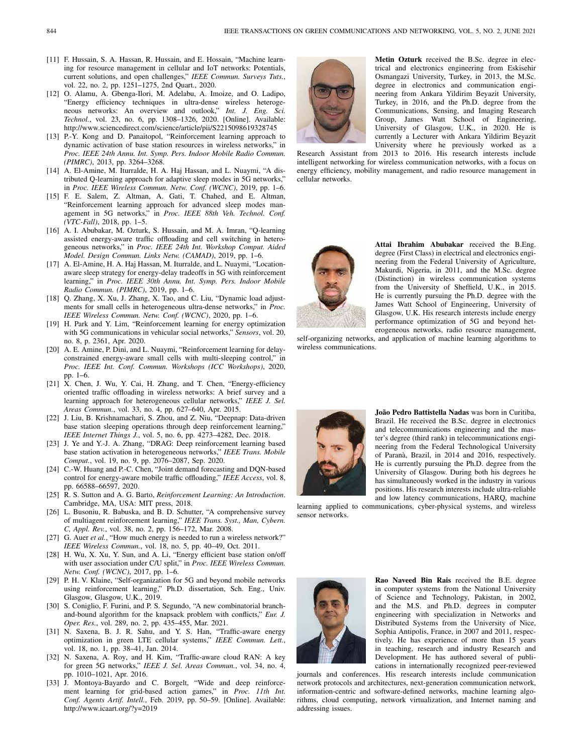- [11] F. Hussain, S. A. Hassan, R. Hussain, and E. Hossain, "Machine learning for resource management in cellular and IoT networks: Potentials, current solutions, and open challenges," *IEEE Commun. Surveys Tuts.*, vol. 22, no. 2, pp. 1251–1275, 2nd Quart., 2020.
- [12] O. Alamu, A. Gbenga-Ilori, M. Adelabu, A. Imoize, and O. Ladipo, "Energy efficiency techniques in ultra-dense wireless heterogeneous networks: An overview and outlook," *Int. J. Eng. Sci. Technol.*, vol. 23, no. 6, pp. 1308–1326, 2020. [Online]. Available: http://www.sciencedirect.com/science/article/pii/S2215098619328745
- [13] P.-Y. Kong and D. Panaitopol, "Reinforcement learning approach to dynamic activation of base station resources in wireless networks," in *Proc. IEEE 24th Annu. Int. Symp. Pers. Indoor Mobile Radio Commun. (PIMRC)*, 2013, pp. 3264–3268.
- [14] A. El-Amine, M. Iturralde, H. A. Haj Hassan, and L. Nuaymi, "A distributed Q-learning approach for adaptive sleep modes in 5G networks," in *Proc. IEEE Wireless Commun. Netw. Conf. (WCNC)*, 2019, pp. 1–6.
- [15] F. E. Salem, Z. Altman, A. Gati, T. Chahed, and E. Altman, "Reinforcement learning approach for advanced sleep modes management in 5G networks," in *Proc. IEEE 88th Veh. Technol. Conf. (VTC-Fall)*, 2018, pp. 1–5.
- [16] A. I. Abubakar, M. Ozturk, S. Hussain, and M. A. Imran, "Q-learning assisted energy-aware traffic offloading and cell switching in heterogeneous networks," in *Proc. IEEE 24th Int. Workshop Comput. Aided Model. Design Commun. Links Netw. (CAMAD)*, 2019, pp. 1–6.
- [17] A. El-Amine, H. A. Haj Hassan, M. Iturralde, and L. Nuaymi, "Locationaware sleep strategy for energy-delay tradeoffs in 5G with reinforcement learning," in *Proc. IEEE 30th Annu. Int. Symp. Pers. Indoor Mobile Radio Commun. (PIMRC)*, 2019, pp. 1–6.
- [18] Q. Zhang, X. Xu, J. Zhang, X. Tao, and C. Liu, "Dynamic load adjustments for small cells in heterogeneous ultra-dense networks," in *Proc. IEEE Wireless Commun. Netw. Conf. (WCNC)*, 2020, pp. 1–6.
- [19] H. Park and Y. Lim, "Reinforcement learning for energy optimization with 5G communications in vehicular social networks," *Sensors*, vol. 20, no. 8, p. 2361, Apr. 2020.
- [20] A. E. Amine, P. Dini, and L. Nuaymi, "Reinforcement learning for delayconstrained energy-aware small cells with multi-sleeping control," in *Proc. IEEE Int. Conf. Commun. Workshops (ICC Workshops)*, 2020, pp. 1–6.
- [21] X. Chen, J. Wu, Y. Cai, H. Zhang, and T. Chen, "Energy-efficiency oriented traffic offloading in wireless networks: A brief survey and a learning approach for heterogeneous cellular networks," *IEEE J. Sel. Areas Commun.*, vol. 33, no. 4, pp. 627–640, Apr. 2015.
- [22] J. Liu, B. Krishnamachari, S. Zhou, and Z. Niu, "Deepnap: Data-driven base station sleeping operations through deep reinforcement learning," *IEEE Internet Things J.*, vol. 5, no. 6, pp. 4273–4282, Dec. 2018.
- [23] J. Ye and Y.-J. A. Zhang, "DRAG: Deep reinforcement learning based base station activation in heterogeneous networks," *IEEE Trans. Mobile Comput.*, vol. 19, no. 9, pp. 2076–2087, Sep. 2020.
- [24] C.-W. Huang and P.-C. Chen, "Joint demand forecasting and DQN-based control for energy-aware mobile traffic offloading," *IEEE Access*, vol. 8, pp. 66588–66597, 2020.
- [25] R. S. Sutton and A. G. Barto, *Reinforcement Learning: An Introduction*. Cambridge, MA, USA: MIT press, 2018.
- [26] L. Busoniu, R. Babuska, and B. D. Schutter, "A comprehensive survey of multiagent reinforcement learning," *IEEE Trans. Syst., Man, Cybern. C, Appl. Rev.*, vol. 38, no. 2, pp. 156–172, Mar. 2008.
- [27] G. Auer *et al.*, "How much energy is needed to run a wireless network?" *IEEE Wireless Commun.*, vol. 18, no. 5, pp. 40–49, Oct. 2011.
- [28] H. Wu, X. Xu, Y. Sun, and A. Li, "Energy efficient base station on/off with user association under C/U split," in *Proc. IEEE Wireless Commun. Netw. Conf. (WCNC)*, 2017, pp. 1–6.
- [29] P. H. V. Klaine, "Self-organization for 5G and beyond mobile networks using reinforcement learning," Ph.D. dissertation, Sch. Eng., Univ. Glasgow, Glasgow, U.K., 2019.
- [30] S. Coniglio, F. Furini, and P. S. Segundo, "A new combinatorial branchand-bound algorithm for the knapsack problem with conflicts," *Eur. J. Oper. Res.*, vol. 289, no. 2, pp. 435–455, Mar. 2021.
- [31] N. Saxena, B. J. R. Sahu, and Y. S. Han, "Traffic-aware energy optimization in green LTE cellular systems," *IEEE Commun. Lett.*, vol. 18, no. 1, pp. 38–41, Jan. 2014.
- [32] N. Saxena, A. Roy, and H. Kim, "Traffic-aware cloud RAN: A key for green 5G networks," *IEEE J. Sel. Areas Commun.*, vol. 34, no. 4, pp. 1010–1021, Apr. 2016.
- [33] J. Montoya-Bayardo and C. Borgelt, "Wide and deep reinforcement learning for grid-based action games," in *Proc. 11th Int. Conf. Agents Artif. Intell.*, Feb. 2019, pp. 50–59. [Online]. Available: http://www.icaart.org/?y=2019



**Metin Ozturk** received the B.Sc. degree in electrical and electronics engineering from Eskisehir Osmangazi University, Turkey, in 2013, the M.Sc. degree in electronics and communication engineering from Ankara Yildirim Beyazit University, Turkey, in 2016, and the Ph.D. degree from the Communications, Sensing, and Imaging Research Group, James Watt School of Engineering, University of Glasgow, U.K., in 2020. He is currently a Lecturer with Ankara Yildirim Beyazit University where he previously worked as a

Research Assistant from 2013 to 2016. His research interests include intelligent networking for wireless communication networks, with a focus on energy efficiency, mobility management, and radio resource management in cellular networks.



**Attai Ibrahim Abubakar** received the B.Eng. degree (First Class) in electrical and electronics engineering from the Federal University of Agriculture, Makurdi, Nigeria, in 2011, and the M.Sc. degree (Distinction) in wireless communication systems from the University of Sheffield, U.K., in 2015. He is currently pursuing the Ph.D. degree with the James Watt School of Engineering, University of Glasgow, U.K. His research interests include energy performance optimization of 5G and beyond heterogeneous networks, radio resource management,

self-organizing networks, and application of machine learning algorithms to wireless communications.



**João Pedro Battistella Nadas** was born in Curitiba, Brazil. He received the B.Sc. degree in electronics and telecommunications engineering and the master's degree (third rank) in telecommunications engineering from the Federal Technological University of Paranà, Brazil, in 2014 and 2016, respectively. He is currently pursuing the Ph.D. degree from the University of Glasgow. During both his degrees he has simultaneously worked in the industry in various positions. His research interests include ultra-reliable and low latency communications, HARQ, machine

learning applied to communications, cyber-physical systems, and wireless sensor networks.



**Rao Naveed Bin Rais** received the B.E. degree in computer systems from the National University of Science and Technology, Pakistan, in 2002, and the M.S. and Ph.D. degrees in computer engineering with specialization in Networks and Distributed Systems from the University of Nice, Sophia Antipolis, France, in 2007 and 2011, respectively. He has experience of more than 15 years in teaching, research and industry Research and Development. He has authored several of publications in internationally recognized peer-reviewed

journals and conferences. His research interests include communication network protocols and architectures, next-generation communication network, information-centric and software-defined networks, machine learning algorithms, cloud computing, network virtualization, and Internet naming and addressing issues.